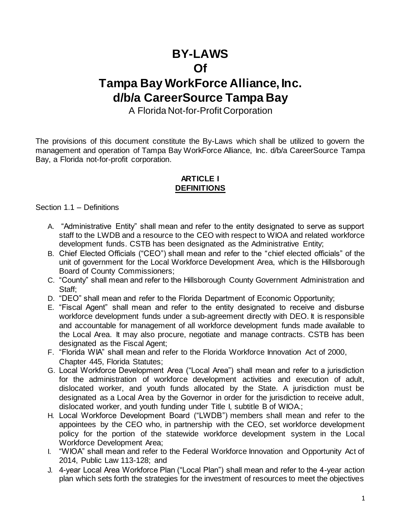# **BY-LAWS Of**

# **Tampa Bay WorkForce Alliance, Inc. d/b/a CareerSource Tampa Bay**

# A Florida Not-for-Profit Corporation

The provisions of this document constitute the By-Laws which shall be utilized to govern the management and operation of Tampa Bay WorkForce Alliance, Inc. d/b/a CareerSource Tampa Bay, a Florida not-for-profit corporation.

# **ARTICLE I DEFINITIONS**

Section 1.1 – Definitions

- A. "Administrative Entity" shall mean and refer to the entity designated to serve as support staff to the LWDB and a resource to the CEO with respect to WIOA and related workforce development funds. CSTB has been designated as the Administrative Entity;
- B. Chief Elected Officials ("CEO") shall mean and refer to the "chief elected officials" of the unit of government for the Local Workforce Development Area, which is the Hillsborough Board of County Commissioners;
- C. "County" shall mean and refer to the Hillsborough County Government Administration and Staff;
- D. "DEO" shall mean and refer to the Florida Department of Economic Opportunity;
- E. "Fiscal Agent" shall mean and refer to the entity designated to receive and disburse workforce development funds under a sub-agreement directly with DEO. It is responsible and accountable for management of all workforce development funds made available to the Local Area. It may also procure, negotiate and manage contracts. CSTB has been designated as the Fiscal Agent;
- F. "Florida WIA" shall mean and refer to the Florida Workforce Innovation Act of 2000, Chapter 445, Florida Statutes;
- G. Local Workforce Development Area ("Local Area") shall mean and refer to a jurisdiction for the administration of workforce development activities and execution of adult, dislocated worker, and youth funds allocated by the State. A jurisdiction must be designated as a Local Area by the Governor in order for the jurisdiction to receive adult, dislocated worker, and youth funding under Title I, subtitle B of WIOA.;
- H. Local Workforce Development Board ("LWDB") members shall mean and refer to the appointees by the CEO who, in partnership with the CEO, set workforce development policy for the portion of the statewide workforce development system in the Local Workforce Development Area;
- I. "WIOA" shall mean and refer to the Federal Workforce Innovation and Opportunity Act of 2014, Public Law 113-128; and
- J. 4-year Local Area Workforce Plan ("Local Plan") shall mean and refer to the 4-year action plan which sets forth the strategies for the investment of resources to meet the objectives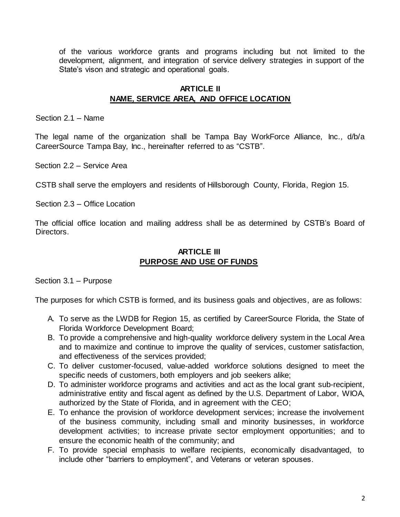of the various workforce grants and programs including but not limited to the development, alignment, and integration of service delivery strategies in support of the State's vison and strategic and operational goals.

#### **ARTICLE II NAME, SERVICE AREA, AND OFFICE LOCATION**

Section 2.1 – Name

The legal name of the organization shall be Tampa Bay WorkForce Alliance, Inc., d/b/a CareerSource Tampa Bay, Inc., hereinafter referred to as "CSTB".

Section 2.2 – Service Area

CSTB shall serve the employers and residents of Hillsborough County, Florida, Region 15.

Section 2.3 – Office Location

The official office location and mailing address shall be as determined by CSTB's Board of Directors.

#### **ARTICLE III PURPOSE AND USE OF FUNDS**

Section 3.1 – Purpose

The purposes for which CSTB is formed, and its business goals and objectives, are as follows:

- A. To serve as the LWDB for Region 15, as certified by CareerSource Florida, the State of Florida Workforce Development Board;
- B. To provide a comprehensive and high-quality workforce delivery system in the Local Area and to maximize and continue to improve the quality of services, customer satisfaction, and effectiveness of the services provided;
- C. To deliver customer-focused, value-added workforce solutions designed to meet the specific needs of customers, both employers and job seekers alike;
- D. To administer workforce programs and activities and act as the local grant sub-recipient, administrative entity and fiscal agent as defined by the U.S. Department of Labor, WIOA, authorized by the State of Florida, and in agreement with the CEO;
- E. To enhance the provision of workforce development services; increase the involvement of the business community, including small and minority businesses, in workforce development activities; to increase private sector employment opportunities; and to ensure the economic health of the community; and
- F. To provide special emphasis to welfare recipients, economically disadvantaged, to include other "barriers to employment", and Veterans or veteran spouses.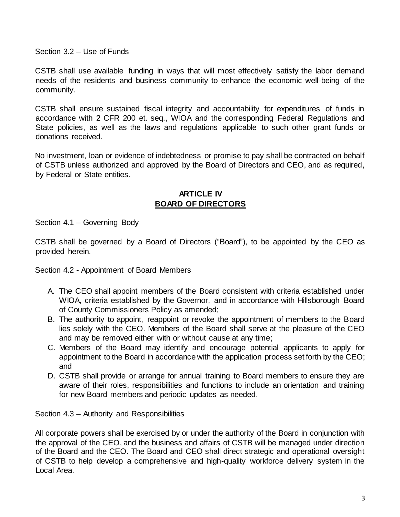Section 3.2 – Use of Funds

CSTB shall use available funding in ways that will most effectively satisfy the labor demand needs of the residents and business community to enhance the economic well-being of the community.

CSTB shall ensure sustained fiscal integrity and accountability for expenditures of funds in accordance with 2 CFR 200 et. seq., WIOA and the corresponding Federal Regulations and State policies, as well as the laws and regulations applicable to such other grant funds or donations received.

No investment, loan or evidence of indebtedness or promise to pay shall be contracted on behalf of CSTB unless authorized and approved by the Board of Directors and CEO, and as required, by Federal or State entities.

#### **ARTICLE IV BOARD OF DIRECTORS**

Section 4.1 – Governing Body

CSTB shall be governed by a Board of Directors ("Board"), to be appointed by the CEO as provided herein.

Section 4.2 - Appointment of Board Members

- A. The CEO shall appoint members of the Board consistent with criteria established under WIOA, criteria established by the Governor, and in accordance with Hillsborough Board of County Commissioners Policy as amended;
- B. The authority to appoint, reappoint or revoke the appointment of members to the Board lies solely with the CEO. Members of the Board shall serve at the pleasure of the CEO and may be removed either with or without cause at any time;
- C. Members of the Board may identify and encourage potential applicants to apply for appointment to the Board in accordance with the application process set forth by the CEO; and
- D. CSTB shall provide or arrange for annual training to Board members to ensure they are aware of their roles, responsibilities and functions to include an orientation and training for new Board members and periodic updates as needed.

Section 4.3 – Authority and Responsibilities

All corporate powers shall be exercised by or under the authority of the Board in conjunction with the approval of the CEO, and the business and affairs of CSTB will be managed under direction of the Board and the CEO. The Board and CEO shall direct strategic and operational oversight of CSTB to help develop a comprehensive and high-quality workforce delivery system in the Local Area.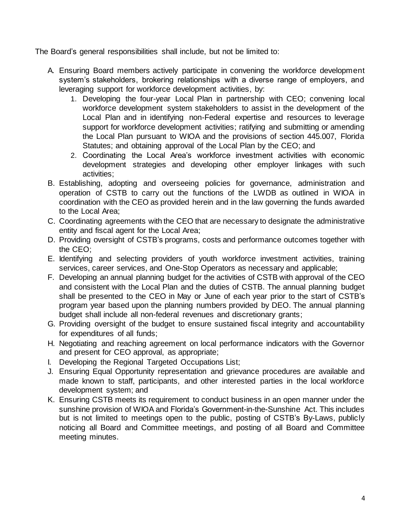The Board's general responsibilities shall include, but not be limited to:

- A. Ensuring Board members actively participate in convening the workforce development system's stakeholders, brokering relationships with a diverse range of employers, and leveraging support for workforce development activities, by:
	- 1. Developing the four-year Local Plan in partnership with CEO; convening local workforce development system stakeholders to assist in the development of the Local Plan and in identifying non-Federal expertise and resources to leverage support for workforce development activities; ratifying and submitting or amending the Local Plan pursuant to WIOA and the provisions of section 445.007, Florida Statutes; and obtaining approval of the Local Plan by the CEO; and
	- 2. Coordinating the Local Area's workforce investment activities with economic development strategies and developing other employer linkages with such activities;
- B. Establishing, adopting and overseeing policies for governance, administration and operation of CSTB to carry out the functions of the LWDB as outlined in WIOA in coordination with the CEO as provided herein and in the law governing the funds awarded to the Local Area;
- C. Coordinating agreements with the CEO that are necessary to designate the administrative entity and fiscal agent for the Local Area;
- D. Providing oversight of CSTB's programs, costs and performance outcomes together with the CEO;
- E. Identifying and selecting providers of youth workforce investment activities, training services, career services, and One-Stop Operators as necessary and applicable;
- F. Developing an annual planning budget for the activities of CSTB with approval of the CEO and consistent with the Local Plan and the duties of CSTB. The annual planning budget shall be presented to the CEO in May or June of each year prior to the start of CSTB's program year based upon the planning numbers provided by DEO. The annual planning budget shall include all non-federal revenues and discretionary grants;
- G. Providing oversight of the budget to ensure sustained fiscal integrity and accountability for expenditures of all funds;
- H. Negotiating and reaching agreement on local performance indicators with the Governor and present for CEO approval, as appropriate;
- I. Developing the Regional Targeted Occupations List;
- J. Ensuring Equal Opportunity representation and grievance procedures are available and made known to staff, participants, and other interested parties in the local workforce development system; and
- K. Ensuring CSTB meets its requirement to conduct business in an open manner under the sunshine provision of WIOA and Florida's Government-in-the-Sunshine Act. This includes but is not limited to meetings open to the public, posting of CSTB's By-Laws, publicly noticing all Board and Committee meetings, and posting of all Board and Committee meeting minutes.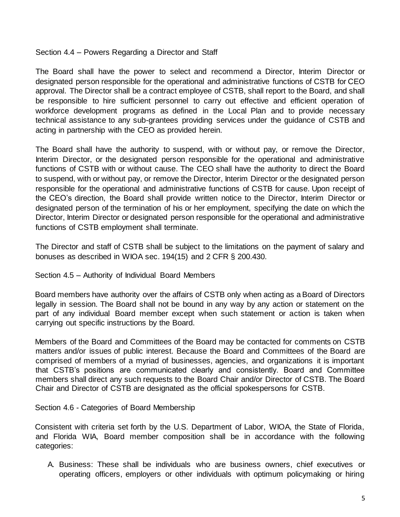Section 4.4 – Powers Regarding a Director and Staff

The Board shall have the power to select and recommend a Director, Interim Director or designated person responsible for the operational and administrative functions of CSTB for CEO approval. The Director shall be a contract employee of CSTB, shall report to the Board, and shall be responsible to hire sufficient personnel to carry out effective and efficient operation of workforce development programs as defined in the Local Plan and to provide necessary technical assistance to any sub-grantees providing services under the guidance of CSTB and acting in partnership with the CEO as provided herein.

The Board shall have the authority to suspend, with or without pay, or remove the Director, Interim Director, or the designated person responsible for the operational and administrative functions of CSTB with or without cause. The CEO shall have the authority to direct the Board to suspend, with or without pay, or remove the Director, Interim Director or the designated person responsible for the operational and administrative functions of CSTB for cause. Upon receipt of the CEO's direction, the Board shall provide written notice to the Director, Interim Director or designated person of the termination of his or her employment, specifying the date on which the Director, Interim Director or designated person responsible for the operational and administrative functions of CSTB employment shall terminate.

The Director and staff of CSTB shall be subject to the limitations on the payment of salary and bonuses as described in WIOA sec. 194(15) and 2 CFR § 200.430.

Section 4.5 – Authority of Individual Board Members

Board members have authority over the affairs of CSTB only when acting as a Board of Directors legally in session. The Board shall not be bound in any way by any action or statement on the part of any individual Board member except when such statement or action is taken when carrying out specific instructions by the Board.

Members of the Board and Committees of the Board may be contacted for comments on CSTB matters and/or issues of public interest. Because the Board and Committees of the Board are comprised of members of a myriad of businesses, agencies, and organizations it is important that CSTB's positions are communicated clearly and consistently. Board and Committee members shall direct any such requests to the Board Chair and/or Director of CSTB. The Board Chair and Director of CSTB are designated as the official spokespersons for CSTB.

Section 4.6 - Categories of Board Membership

Consistent with criteria set forth by the U.S. Department of Labor, WIOA, the State of Florida, and Florida WIA, Board member composition shall be in accordance with the following categories:

A. Business: These shall be individuals who are business owners, chief executives or operating officers, employers or other individuals with optimum policymaking or hiring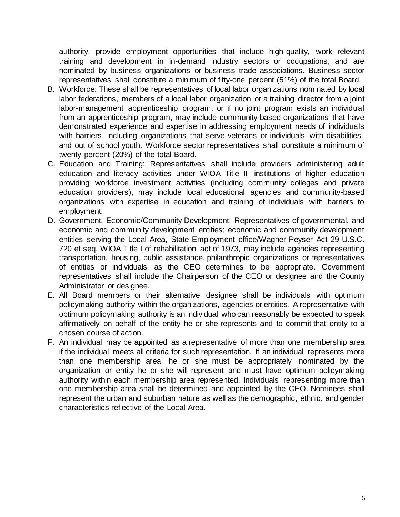authority, provide employment opportunities that include high-quality, work relevant training and development in in-demand industry sectors or occupations, and are nominated by business organizations or business trade associations. Business sector representatives shall constitute a minimum of fifty-one percent (51%) of the total Board.

- B. Workforce: These shall be representatives of local labor organizations nominated by local labor federations, members of a local labor organization or a training director from a joint labor-management apprenticeship program, or if no joint program exists an individual from an apprenticeship program, may include community based organizations that have demonstrated experience and expertise in addressing employment needs of individuals with barriers, including organizations that serve veterans or individuals with disabilities, and out of school youth. Workforce sector representatives shall constitute a minimum of twenty percent (20%) of the total Board.
- C. Education and Training: Representatives shall include providers administering adult education and literacy activities under WIOA Title II, institutions of higher education providing workforce investment activities (including community colleges and private education providers), may include local educational agencies and community-based organizations with expertise in education and training of individuals with barriers to employment.
- D. Government, Economic/Community Development: Representatives of governmental, and economic and community development entities; economic and community development entities serving the Local Area, State Employment office/Wagner-Peyser Act 29 U.S.C. 720 et seq, WIOA Title I of rehabilitation act of 1973, may include agencies representing transportation, housing, public assistance, philanthropic organizations or representatives of entities or individuals as the CEO determines to be appropriate. Government representatives shall include the Chairperson of the CEO or designee and the County Administrator or designee.
- E. All Board members or their alternative designee shall be individuals with optimum policymaking authority within the organizations, agencies or entities. A representative with optimum policymaking authority is an individual who can reasonably be expected to speak affirmatively on behalf of the entity he or she represents and to commit that entity to a chosen course of action.
- F. An individual may be appointed as a representative of more than one membership area if the individual meets all criteria for such representation. If an individual represents more than one membership area, he or she must be appropriately nominated by the organization or entity he or she will represent and must have optimum policymaking authority within each membership area represented. Individuals representing more than one membership area shall be determined and appointed by the CEO. Nominees shall represent the urban and suburban nature as well as the demographic, ethnic, and gender characteristics reflective of the Local Area.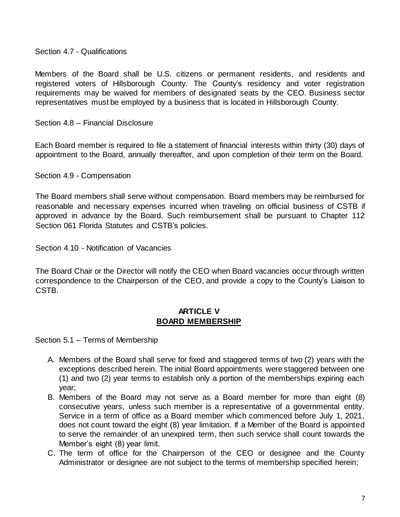Section 4.7 - Qualifications

Members of the Board shall be U.S. citizens or permanent residents, and residents and registered voters of Hillsborough County. The County's residency and voter registration requirements may be waived for members of designated seats by the CEO. Business sector representatives must be employed by a business that is located in Hillsborough County.

Section 4.8 – Financial Disclosure

Each Board member is required to file a statement of financial interests within thirty (30) days of appointment to the Board, annually thereafter, and upon completion of their term on the Board.

Section 4.9 - Compensation

The Board members shall serve without compensation. Board members may be reimbursed for reasonable and necessary expenses incurred when traveling on official business of CSTB if approved in advance by the Board. Such reimbursement shall be pursuant to Chapter 112 Section 061 Florida Statutes and CSTB's policies.

Section 4.10 - Notification of Vacancies

The Board Chair or the Director will notify the CEO when Board vacancies occur through written correspondence to the Chairperson of the CEO, and provide a copy to the County's Liaison to CSTB.

#### **ARTICLE V BOARD MEMBERSHIP**

Section 5.1 – Terms of Membership

- A. Members of the Board shall serve for fixed and staggered terms of two (2) years with the exceptions described herein. The initial Board appointments were staggered between one (1) and two (2) year terms to establish only a portion of the memberships expiring each year;
- B. Members of the Board may not serve as a Board member for more than eight (8) consecutive years, unless such member is a representative of a governmental entity. Service in a term of office as a Board member which commenced before July 1, 2021, does not count toward the eight (8) year limitation. If a Member of the Board is appointed to serve the remainder of an unexpired term, then such service shall count towards the Member's eight (8) year limit.
- C. The term of office for the Chairperson of the CEO or designee and the County Administrator or designee are not subject to the terms of membership specified herein;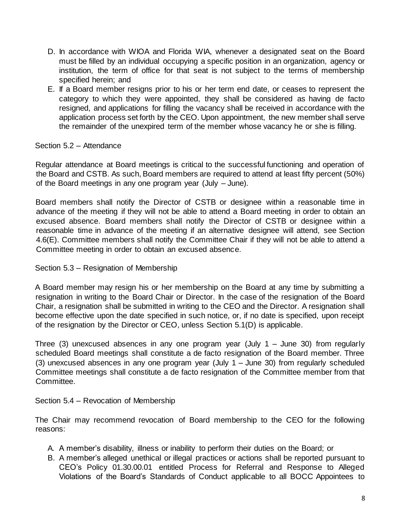- D. In accordance with WIOA and Florida WIA, whenever a designated seat on the Board must be filled by an individual occupying a specific position in an organization, agency or institution, the term of office for that seat is not subject to the terms of membership specified herein; and
- E. If a Board member resigns prior to his or her term end date, or ceases to represent the category to which they were appointed, they shall be considered as having de facto resigned, and applications for filling the vacancy shall be received in accordance with the application process set forth by the CEO. Upon appointment, the new member shall serve the remainder of the unexpired term of the member whose vacancy he or she is filling.

#### Section 5.2 – Attendance

Regular attendance at Board meetings is critical to the successful functioning and operation of the Board and CSTB. As such, Board members are required to attend at least fifty percent (50%) of the Board meetings in any one program year (July – June).

Board members shall notify the Director of CSTB or designee within a reasonable time in advance of the meeting if they will not be able to attend a Board meeting in order to obtain an excused absence. Board members shall notify the Director of CSTB or designee within a reasonable time in advance of the meeting if an alternative designee will attend, see Section 4.6(E). Committee members shall notify the Committee Chair if they will not be able to attend a Committee meeting in order to obtain an excused absence.

Section 5.3 – Resignation of Membership

A Board member may resign his or her membership on the Board at any time by submitting a resignation in writing to the Board Chair or Director. In the case of the resignation of the Board Chair, a resignation shall be submitted in writing to the CEO and the Director. A resignation shall become effective upon the date specified in such notice, or, if no date is specified, upon receipt of the resignation by the Director or CEO, unless Section 5.1(D) is applicable.

Three (3) unexcused absences in any one program year (July 1 – June 30) from regularly scheduled Board meetings shall constitute a de facto resignation of the Board member. Three (3) unexcused absences in any one program year (July 1 – June 30) from regularly scheduled Committee meetings shall constitute a de facto resignation of the Committee member from that Committee.

# Section 5.4 – Revocation of Membership

The Chair may recommend revocation of Board membership to the CEO for the following reasons:

- A. A member's disability, illness or inability to perform their duties on the Board; or
- B. A member's alleged unethical or illegal practices or actions shall be reported pursuant to CEO's Policy 01.30.00.01 entitled Process for Referral and Response to Alleged Violations of the Board's Standards of Conduct applicable to all BOCC Appointees to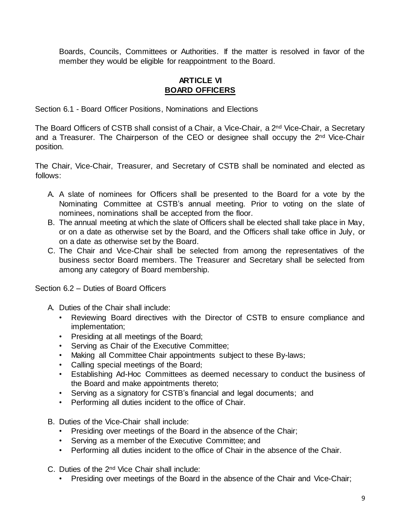Boards, Councils, Committees or Authorities. If the matter is resolved in favor of the member they would be eligible for reappointment to the Board.

#### **ARTICLE VI BOARD OFFICERS**

Section 6.1 - Board Officer Positions, Nominations and Elections

The Board Officers of CSTB shall consist of a Chair, a Vice-Chair, a 2<sup>nd</sup> Vice-Chair, a Secretary and a Treasurer. The Chairperson of the CEO or designee shall occupy the 2<sup>nd</sup> Vice-Chair position.

The Chair, Vice-Chair, Treasurer, and Secretary of CSTB shall be nominated and elected as follows:

- A. A slate of nominees for Officers shall be presented to the Board for a vote by the Nominating Committee at CSTB's annual meeting. Prior to voting on the slate of nominees, nominations shall be accepted from the floor.
- B. The annual meeting at which the slate of Officers shall be elected shall take place in May, or on a date as otherwise set by the Board, and the Officers shall take office in July, or on a date as otherwise set by the Board.
- C. The Chair and Vice-Chair shall be selected from among the representatives of the business sector Board members. The Treasurer and Secretary shall be selected from among any category of Board membership.

Section 6.2 – Duties of Board Officers

- A. Duties of the Chair shall include:
	- Reviewing Board directives with the Director of CSTB to ensure compliance and implementation;
	- Presiding at all meetings of the Board;
	- Serving as Chair of the Executive Committee;
	- Making all Committee Chair appointments subject to these By-laws;
	- Calling special meetings of the Board;
	- Establishing Ad-Hoc Committees as deemed necessary to conduct the business of the Board and make appointments thereto;
	- Serving as a signatory for CSTB's financial and legal documents; and
	- Performing all duties incident to the office of Chair.
- B. Duties of the Vice-Chair shall include:
	- Presiding over meetings of the Board in the absence of the Chair;
	- Serving as a member of the Executive Committee; and
	- Performing all duties incident to the office of Chair in the absence of the Chair.
- C. Duties of the 2nd Vice Chair shall include:
	- Presiding over meetings of the Board in the absence of the Chair and Vice-Chair;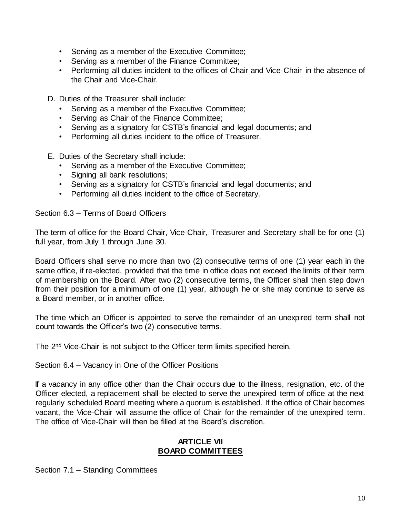- Serving as a member of the Executive Committee;
- Serving as a member of the Finance Committee;
- Performing all duties incident to the offices of Chair and Vice-Chair in the absence of the Chair and Vice-Chair.
- D. Duties of the Treasurer shall include:
	- Serving as a member of the Executive Committee;
	- Serving as Chair of the Finance Committee;
	- Serving as a signatory for CSTB's financial and legal documents; and
	- Performing all duties incident to the office of Treasurer.
- E. Duties of the Secretary shall include:
	- Serving as a member of the Executive Committee;
	- Signing all bank resolutions;
	- Serving as a signatory for CSTB's financial and legal documents; and
	- Performing all duties incident to the office of Secretary.

Section 6.3 – Terms of Board Officers

The term of office for the Board Chair, Vice-Chair, Treasurer and Secretary shall be for one (1) full year, from July 1 through June 30.

Board Officers shall serve no more than two (2) consecutive terms of one (1) year each in the same office, if re-elected, provided that the time in office does not exceed the limits of their term of membership on the Board. After two (2) consecutive terms, the Officer shall then step down from their position for a minimum of one (1) year, although he or she may continue to serve as a Board member, or in another office.

The time which an Officer is appointed to serve the remainder of an unexpired term shall not count towards the Officer's two (2) consecutive terms.

The 2nd Vice-Chair is not subject to the Officer term limits specified herein.

Section 6.4 – Vacancy in One of the Officer Positions

If a vacancy in any office other than the Chair occurs due to the illness, resignation, etc. of the Officer elected, a replacement shall be elected to serve the unexpired term of office at the next regularly scheduled Board meeting where a quorum is established. If the office of Chair becomes vacant, the Vice-Chair will assume the office of Chair for the remainder of the unexpired term. The office of Vice-Chair will then be filled at the Board's discretion.

#### **ARTICLE VII BOARD COMMITTEES**

Section 7.1 – Standing Committees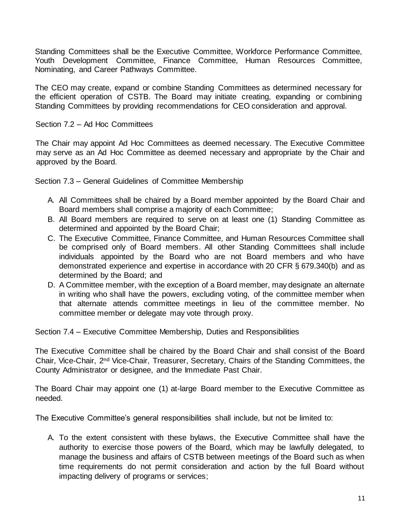Standing Committees shall be the Executive Committee, Workforce Performance Committee, Youth Development Committee, Finance Committee, Human Resources Committee, Nominating, and Career Pathways Committee.

The CEO may create, expand or combine Standing Committees as determined necessary for the efficient operation of CSTB. The Board may initiate creating, expanding or combining Standing Committees by providing recommendations for CEO consideration and approval.

#### Section 7.2 – Ad Hoc Committees

The Chair may appoint Ad Hoc Committees as deemed necessary. The Executive Committee may serve as an Ad Hoc Committee as deemed necessary and appropriate by the Chair and approved by the Board.

Section 7.3 – General Guidelines of Committee Membership

- A. All Committees shall be chaired by a Board member appointed by the Board Chair and Board members shall comprise a majority of each Committee;
- B. All Board members are required to serve on at least one (1) Standing Committee as determined and appointed by the Board Chair;
- C. The Executive Committee, Finance Committee, and Human Resources Committee shall be comprised only of Board members. All other Standing Committees shall include individuals appointed by the Board who are not Board members and who have demonstrated experience and expertise in accordance with 20 CFR § 679.340(b) and as determined by the Board; and
- D. A Committee member, with the exception of a Board member, may designate an alternate in writing who shall have the powers, excluding voting, of the committee member when that alternate attends committee meetings in lieu of the committee member. No committee member or delegate may vote through proxy.

Section 7.4 – Executive Committee Membership, Duties and Responsibilities

The Executive Committee shall be chaired by the Board Chair and shall consist of the Board Chair, Vice-Chair, 2nd Vice-Chair, Treasurer, Secretary, Chairs of the Standing Committees, the County Administrator or designee, and the Immediate Past Chair.

The Board Chair may appoint one (1) at-large Board member to the Executive Committee as needed.

The Executive Committee's general responsibilities shall include, but not be limited to:

A. To the extent consistent with these bylaws, the Executive Committee shall have the authority to exercise those powers of the Board, which may be lawfully delegated, to manage the business and affairs of CSTB between meetings of the Board such as when time requirements do not permit consideration and action by the full Board without impacting delivery of programs or services;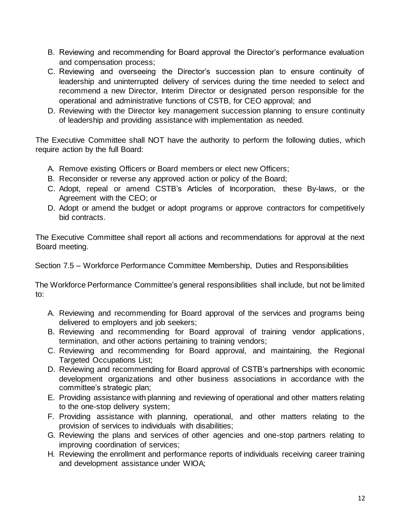- B. Reviewing and recommending for Board approval the Director's performance evaluation and compensation process;
- C. Reviewing and overseeing the Director's succession plan to ensure continuity of leadership and uninterrupted delivery of services during the time needed to select and recommend a new Director, Interim Director or designated person responsible for the operational and administrative functions of CSTB, for CEO approval; and
- D. Reviewing with the Director key management succession planning to ensure continuity of leadership and providing assistance with implementation as needed.

The Executive Committee shall NOT have the authority to perform the following duties, which require action by the full Board:

- A. Remove existing Officers or Board members or elect new Officers;
- B. Reconsider or reverse any approved action or policy of the Board;
- C. Adopt, repeal or amend CSTB's Articles of Incorporation, these By-laws, or the Agreement with the CEO; or
- D. Adopt or amend the budget or adopt programs or approve contractors for competitively bid contracts.

The Executive Committee shall report all actions and recommendations for approval at the next Board meeting.

Section 7.5 – Workforce Performance Committee Membership, Duties and Responsibilities

The Workforce Performance Committee's general responsibilities shall include, but not be limited to:

- A. Reviewing and recommending for Board approval of the services and programs being delivered to employers and job seekers;
- B. Reviewing and recommending for Board approval of training vendor applications, termination, and other actions pertaining to training vendors;
- C. Reviewing and recommending for Board approval, and maintaining, the Regional Targeted Occupations List;
- D. Reviewing and recommending for Board approval of CSTB's partnerships with economic development organizations and other business associations in accordance with the committee's strategic plan;
- E. Providing assistance with planning and reviewing of operational and other matters relating to the one-stop delivery system;
- F. Providing assistance with planning, operational, and other matters relating to the provision of services to individuals with disabilities;
- G. Reviewing the plans and services of other agencies and one-stop partners relating to improving coordination of services;
- H. Reviewing the enrollment and performance reports of individuals receiving career training and development assistance under WIOA;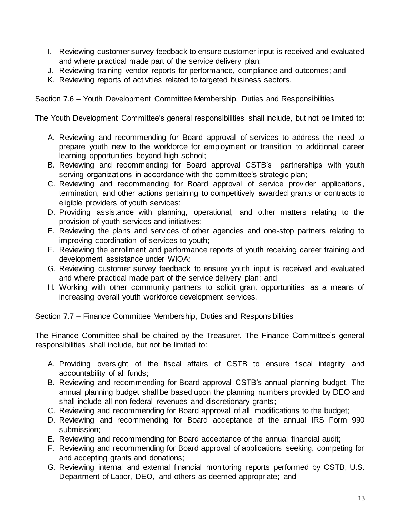- I. Reviewing customer survey feedback to ensure customer input is received and evaluated and where practical made part of the service delivery plan;
- J. Reviewing training vendor reports for performance, compliance and outcomes; and
- K. Reviewing reports of activities related to targeted business sectors.

Section 7.6 – Youth Development Committee Membership, Duties and Responsibilities

The Youth Development Committee's general responsibilities shall include, but not be limited to:

- A. Reviewing and recommending for Board approval of services to address the need to prepare youth new to the workforce for employment or transition to additional career learning opportunities beyond high school;
- B. Reviewing and recommending for Board approval CSTB's partnerships with youth serving organizations in accordance with the committee's strategic plan;
- C. Reviewing and recommending for Board approval of service provider applications, termination, and other actions pertaining to competitively awarded grants or contracts to eligible providers of youth services;
- D. Providing assistance with planning, operational, and other matters relating to the provision of youth services and initiatives;
- E. Reviewing the plans and services of other agencies and one-stop partners relating to improving coordination of services to youth;
- F. Reviewing the enrollment and performance reports of youth receiving career training and development assistance under WIOA;
- G. Reviewing customer survey feedback to ensure youth input is received and evaluated and where practical made part of the service delivery plan; and
- H. Working with other community partners to solicit grant opportunities as a means of increasing overall youth workforce development services.

Section 7.7 – Finance Committee Membership, Duties and Responsibilities

The Finance Committee shall be chaired by the Treasurer. The Finance Committee's general responsibilities shall include, but not be limited to:

- A. Providing oversight of the fiscal affairs of CSTB to ensure fiscal integrity and accountability of all funds;
- B. Reviewing and recommending for Board approval CSTB's annual planning budget. The annual planning budget shall be based upon the planning numbers provided by DEO and shall include all non-federal revenues and discretionary grants;
- C. Reviewing and recommending for Board approval of all modifications to the budget;
- D. Reviewing and recommending for Board acceptance of the annual IRS Form 990 submission;
- E. Reviewing and recommending for Board acceptance of the annual financial audit;
- F. Reviewing and recommending for Board approval of applications seeking, competing for and accepting grants and donations;
- G. Reviewing internal and external financial monitoring reports performed by CSTB, U.S. Department of Labor, DEO, and others as deemed appropriate; and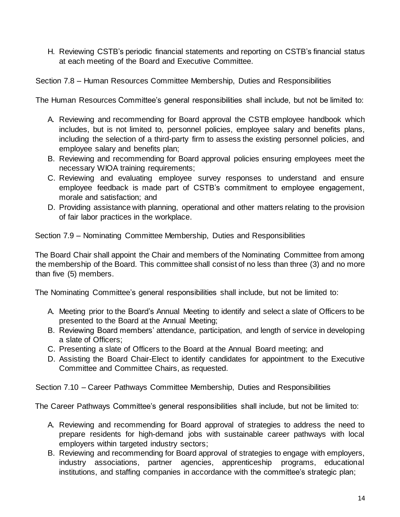H. Reviewing CSTB's periodic financial statements and reporting on CSTB's financial status at each meeting of the Board and Executive Committee.

# Section 7.8 – Human Resources Committee Membership, Duties and Responsibilities

The Human Resources Committee's general responsibilities shall include, but not be limited to:

- A. Reviewing and recommending for Board approval the CSTB employee handbook which includes, but is not limited to, personnel policies, employee salary and benefits plans, including the selection of a third-party firm to assess the existing personnel policies, and employee salary and benefits plan;
- B. Reviewing and recommending for Board approval policies ensuring employees meet the necessary WIOA training requirements;
- C. Reviewing and evaluating employee survey responses to understand and ensure employee feedback is made part of CSTB's commitment to employee engagement, morale and satisfaction; and
- D. Providing assistance with planning, operational and other matters relating to the provision of fair labor practices in the workplace.

Section 7.9 – Nominating Committee Membership, Duties and Responsibilities

The Board Chair shall appoint the Chair and members of the Nominating Committee from among the membership of the Board. This committee shall consist of no less than three (3) and no more than five (5) members.

The Nominating Committee's general responsibilities shall include, but not be limited to:

- A. Meeting prior to the Board's Annual Meeting to identify and select a slate of Officers to be presented to the Board at the Annual Meeting;
- B. Reviewing Board members' attendance, participation, and length of service in developing a slate of Officers;
- C. Presenting a slate of Officers to the Board at the Annual Board meeting; and
- D. Assisting the Board Chair-Elect to identify candidates for appointment to the Executive Committee and Committee Chairs, as requested.

Section 7.10 – Career Pathways Committee Membership, Duties and Responsibilities

The Career Pathways Committee's general responsibilities shall include, but not be limited to:

- A. Reviewing and recommending for Board approval of strategies to address the need to prepare residents for high-demand jobs with sustainable career pathways with local employers within targeted industry sectors;
- B. Reviewing and recommending for Board approval of strategies to engage with employers, industry associations, partner agencies, apprenticeship programs, educational institutions, and staffing companies in accordance with the committee's strategic plan;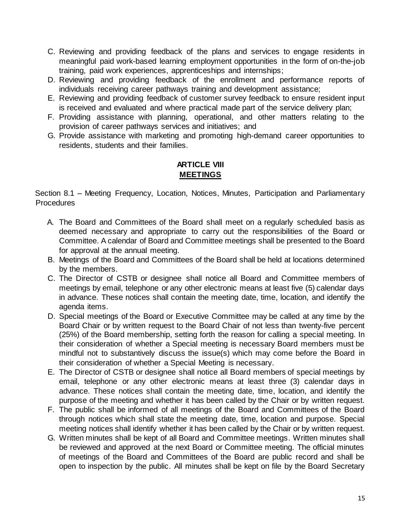- C. Reviewing and providing feedback of the plans and services to engage residents in meaningful paid work-based learning employment opportunities in the form of on-the-job training, paid work experiences, apprenticeships and internships;
- D. Reviewing and providing feedback of the enrollment and performance reports of individuals receiving career pathways training and development assistance;
- E. Reviewing and providing feedback of customer survey feedback to ensure resident input is received and evaluated and where practical made part of the service delivery plan;
- F. Providing assistance with planning, operational, and other matters relating to the provision of career pathways services and initiatives; and
- G. Provide assistance with marketing and promoting high-demand career opportunities to residents, students and their families.

# **ARTICLE VIII MEETINGS**

Section 8.1 – Meeting Frequency, Location, Notices, Minutes, Participation and Parliamentary **Procedures** 

- A. The Board and Committees of the Board shall meet on a regularly scheduled basis as deemed necessary and appropriate to carry out the responsibilities of the Board or Committee. A calendar of Board and Committee meetings shall be presented to the Board for approval at the annual meeting.
- B. Meetings of the Board and Committees of the Board shall be held at locations determined by the members.
- C. The Director of CSTB or designee shall notice all Board and Committee members of meetings by email, telephone or any other electronic means at least five (5) calendar days in advance. These notices shall contain the meeting date, time, location, and identify the agenda items.
- D. Special meetings of the Board or Executive Committee may be called at any time by the Board Chair or by written request to the Board Chair of not less than twenty-five percent (25%) of the Board membership, setting forth the reason for calling a special meeting. In their consideration of whether a Special meeting is necessary Board members must be mindful not to substantively discuss the issue(s) which may come before the Board in their consideration of whether a Special Meeting is necessary.
- E. The Director of CSTB or designee shall notice all Board members of special meetings by email, telephone or any other electronic means at least three (3) calendar days in advance. These notices shall contain the meeting date, time, location, and identify the purpose of the meeting and whether it has been called by the Chair or by written request.
- F. The public shall be informed of all meetings of the Board and Committees of the Board through notices which shall state the meeting date, time, location and purpose. Special meeting notices shall identify whether it has been called by the Chair or by written request.
- G. Written minutes shall be kept of all Board and Committee meetings. Written minutes shall be reviewed and approved at the next Board or Committee meeting. The official minutes of meetings of the Board and Committees of the Board are public record and shall be open to inspection by the public. All minutes shall be kept on file by the Board Secretary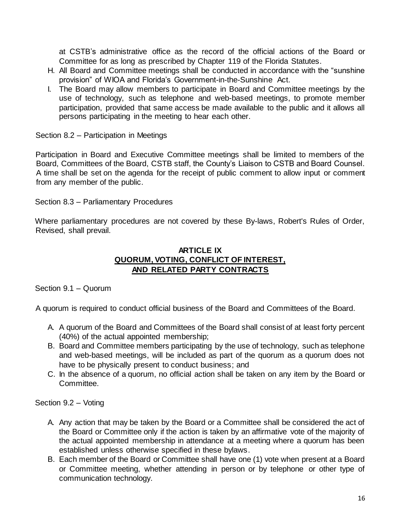at CSTB's administrative office as the record of the official actions of the Board or Committee for as long as prescribed by Chapter 119 of the Florida Statutes.

- H. All Board and Committee meetings shall be conducted in accordance with the "sunshine provision" of WIOA and Florida's Government-in-the-Sunshine Act.
- I. The Board may allow members to participate in Board and Committee meetings by the use of technology, such as telephone and web-based meetings, to promote member participation, provided that same access be made available to the public and it allows all persons participating in the meeting to hear each other.

Section 8.2 – Participation in Meetings

Participation in Board and Executive Committee meetings shall be limited to members of the Board, Committees of the Board, CSTB staff, the County's Liaison to CSTB and Board Counsel. A time shall be set on the agenda for the receipt of public comment to allow input or comment from any member of the public.

Section 8.3 – Parliamentary Procedures

Where parliamentary procedures are not covered by these By-laws, Robert's Rules of Order, Revised, shall prevail.

#### **ARTICLE IX QUORUM, VOTING, CONFLICT OF INTEREST, AND RELATED PARTY CONTRACTS**

Section 9.1 – Quorum

A quorum is required to conduct official business of the Board and Committees of the Board.

- A. A quorum of the Board and Committees of the Board shall consist of at least forty percent (40%) of the actual appointed membership;
- B. Board and Committee members participating by the use of technology, such as telephone and web-based meetings, will be included as part of the quorum as a quorum does not have to be physically present to conduct business; and
- C. In the absence of a quorum, no official action shall be taken on any item by the Board or Committee.

Section 9.2 – Voting

- A. Any action that may be taken by the Board or a Committee shall be considered the act of the Board or Committee only if the action is taken by an affirmative vote of the majority of the actual appointed membership in attendance at a meeting where a quorum has been established unless otherwise specified in these bylaws.
- B. Each member of the Board or Committee shall have one (1) vote when present at a Board or Committee meeting, whether attending in person or by telephone or other type of communication technology.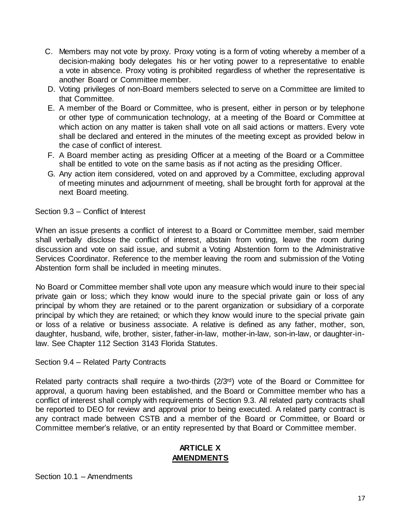- C. Members may not vote by proxy. Proxy voting is a form of voting whereby a member of a decision-making body delegates his or her voting power to a representative to enable a vote in absence. Proxy voting is prohibited regardless of whether the representative is another Board or Committee member.
- D. Voting privileges of non-Board members selected to serve on a Committee are limited to that Committee.
- E. A member of the Board or Committee, who is present, either in person or by telephone or other type of communication technology, at a meeting of the Board or Committee at which action on any matter is taken shall vote on all said actions or matters. Every vote shall be declared and entered in the minutes of the meeting except as provided below in the case of conflict of interest.
- F. A Board member acting as presiding Officer at a meeting of the Board or a Committee shall be entitled to vote on the same basis as if not acting as the presiding Officer.
- G. Any action item considered, voted on and approved by a Committee, excluding approval of meeting minutes and adjournment of meeting, shall be brought forth for approval at the next Board meeting.

Section 9.3 – Conflict of Interest

When an issue presents a conflict of interest to a Board or Committee member, said member shall verbally disclose the conflict of interest, abstain from voting, leave the room during discussion and vote on said issue, and submit a Voting Abstention form to the Administrative Services Coordinator. Reference to the member leaving the room and submission of the Voting Abstention form shall be included in meeting minutes.

No Board or Committee member shall vote upon any measure which would inure to their special private gain or loss; which they know would inure to the special private gain or loss of any principal by whom they are retained or to the parent organization or subsidiary of a corporate principal by which they are retained; or which they know would inure to the special private gain or loss of a relative or business associate. A relative is defined as any father, mother, son, daughter, husband, wife, brother, sister, father-in-law, mother-in-law, son-in-law, or daughter-inlaw. See Chapter 112 Section 3143 Florida Statutes.

Section 9.4 – Related Party Contracts

Related party contracts shall require a two-thirds (2/3rd) vote of the Board or Committee for approval, a quorum having been established, and the Board or Committee member who has a conflict of interest shall comply with requirements of Section 9.3. All related party contracts shall be reported to DEO for review and approval prior to being executed. A related party contract is any contract made between CSTB and a member of the Board or Committee, or Board or Committee member's relative, or an entity represented by that Board or Committee member.

# **ARTICLE X AMENDMENTS**

Section 10.1 – Amendments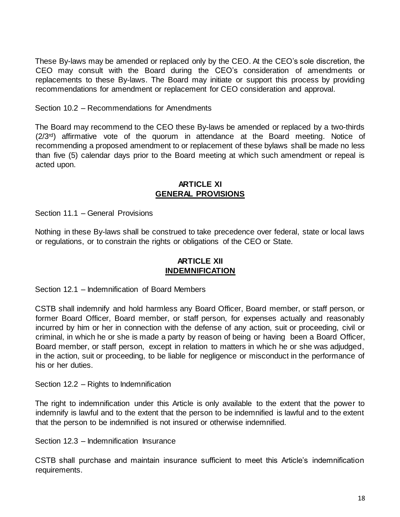These By-laws may be amended or replaced only by the CEO. At the CEO's sole discretion, the CEO may consult with the Board during the CEO's consideration of amendments or replacements to these By-laws. The Board may initiate or support this process by providing recommendations for amendment or replacement for CEO consideration and approval.

Section 10.2 – Recommendations for Amendments

The Board may recommend to the CEO these By-laws be amended or replaced by a two-thirds (2/3rd) affirmative vote of the quorum in attendance at the Board meeting. Notice of recommending a proposed amendment to or replacement of these bylaws shall be made no less than five (5) calendar days prior to the Board meeting at which such amendment or repeal is acted upon.

#### **ARTICLE XI GENERAL PROVISIONS**

Section 11.1 – General Provisions

Nothing in these By-laws shall be construed to take precedence over federal, state or local laws or regulations, or to constrain the rights or obligations of the CEO or State.

#### **ARTICLE XII INDEMNIFICATION**

Section 12.1 – Indemnification of Board Members

CSTB shall indemnify and hold harmless any Board Officer, Board member, or staff person, or former Board Officer, Board member, or staff person, for expenses actually and reasonably incurred by him or her in connection with the defense of any action, suit or proceeding, civil or criminal, in which he or she is made a party by reason of being or having been a Board Officer, Board member, or staff person, except in relation to matters in which he or she was adjudged, in the action, suit or proceeding, to be liable for negligence or misconduct in the performance of his or her duties.

Section 12.2 – Rights to Indemnification

The right to indemnification under this Article is only available to the extent that the power to indemnify is lawful and to the extent that the person to be indemnified is lawful and to the extent that the person to be indemnified is not insured or otherwise indemnified.

Section 12.3 – Indemnification Insurance

CSTB shall purchase and maintain insurance sufficient to meet this Article's indemnification requirements.